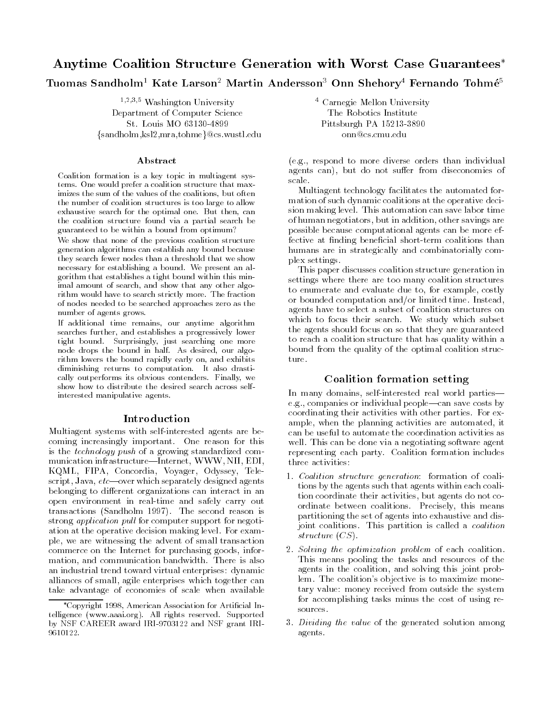# Anytime Coalition Structure Generation with Worst Case Guarantees

Tuomas Sandholm<sup>1</sup> Kate Larson<sup>2</sup> Martin Andersson<sup>3</sup> Onn Shehory<sup>4</sup> Fernando Tohmé<sup>5</sup>

1;2;3;5 Washington University Department of Computer Science St. Louis MO 63130-4899 fsandholm,ksl2,mra,tohmeg@cs.wustl.edu

Coalition formation is a key topic in multiagent systems. One would prefer a coalition structure that maximizes the sum of the values of the coalitions, but often the number of coalition structures is too large to allow exhaustive search for the optimal one. But then, can the coalition structure found via a partial search be guaranteed to be within a bound from optimum?

We show that none of the previous coalition structure generation algorithms can establish any bound because they search fewer nodes than a threshold that we show necessary for establishing a bound. We present an algorithm that establishes a tight bound within this minimal amount of search, and show that any other algorithm would have to search strictly more. The fraction of nodes needed to be searched approaches zero as the number of agents grows.

If additional time remains, our anytime algorithm searches further, and establishes a progressively lower tight bound. Surprisingly, just searching one more node drops the bound in half. As desired, our algorithm lowers the bound rapidly early on, and exhibits diminishing returns to computation. It also drastically outperforms its obvious contenders. Finally, we show how to distribute the desired search across selfinterested manipulative agents.

#### Introduction

Multiagent systems with self-interested agents are becoming increasingly important. One reason for this is the technology push of a growing standardized com munication infrastructure-Internet, WWW, NII, EDI, KQML, FIPA, Concordia, Voyager, Odyssey, Telescript, Java,  $etc$ —over which separately designed agents belonging to different organizations can interact in an open environment in real-time and safely carry out transactions (Sandholm 1997). The second reason is strong *application pull* for computer support for negotiation at the operative decision making level. For exam ple, we are witnessing the advent of small transaction commerce on the Internet for purchasing goods, information, and communication bandwidth. There is also an industrial trend toward virtual enterprises: dynamic alliances of small, agile enterprises which together can take advantage of economies of scale when available

<sup>4</sup> Carnegie Mellon University The Robotics Institute Pittsburgh PA 15213-3890 onn@cs.cmu.edu

(e.g., respond to more diverse orders than individual agents can), but do not suffer from diseconomies of scale.

Multiagent technology facilitates the automated formation of such dynamic coalitions at the operative decision making level. This automation can save labor time of human negotiators, but in addition, other savings are possible because computational agents can be more effective at finding beneficial short-term coalitions than humans are in strategically and combinatorially complex settings.

This paper discusses coalition structure generation in settings where there are too many coalition structures to enumerate and evaluate due to, for example, costly or bounded computation and/or limited time. Instead, agents have to select a subset of coalition structures on which to focus their search. We study which subset the agents should focus on so that they are guaranteed to reach a coalition structure that has quality within a bound from the quality of the optimal coalition structure.

## Coalition formation setting

In many domains, self-interested real world partiese.g., companies or individual people-can save costs by coordinating their activities with other parties. For example, when the planning activities are automated, it can be useful to automate the coordination activities as well. This can be done via a negotiating software agent representing each party. Coalition formation includes three activities:

- 1. Coalition structure generation: formation of coalitions by the agents such that agents within each coalition coordinate their activities, but agents do not coordinate between coalitions. Precisely, this means partitioning the set of agents into exhaustive and disjoint coalitions. This partition is called a coalition structure (CS).
- 2. Solving the optimization problem of each coalition. This means pooling the tasks and resources of the agents in the coalition, and solving this joint problem. The coalition's objective is to maximize monetary value: money received from outside the system for accomplishing tasks minus the cost of using resources.
- 3. Dividing the value of the generated solution among agents.

Copyright 1998, American Association for Articial Intelligence (www.aaai.org). All rights reserved. Supported by NSF CAREER award IRI-9703122 and NSF grant IRI-9610122.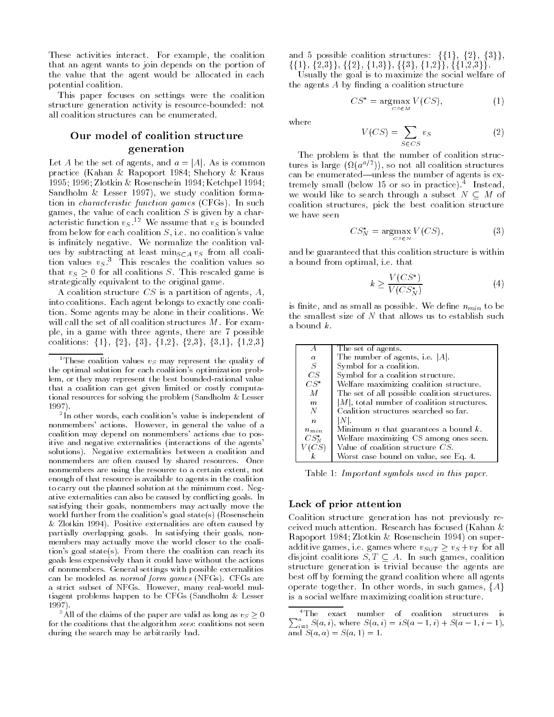These activities interact. For example, the coalition that an agent wants to join depends on the portion of the value that the agent would be allocated in each potential coalition.

This paper focuses on settings were the coalition structure generation activity is resource-bounded: not all coalition structures can be enumerated.

# Our model of coalition structure generation

Let A be the set of agents, and  $a = |A|$ . As is common practice (Kahan & Rapoport 1984; Shehory & Kraus 1995; 1996; Zlotkin & Rosenschein 1994; Ketchpel 1994; Sandholm & Lesser 1997), we study coalition formation in characteristic function games (CFGs). In such games, the value of each coalition  $S$  is given by a characteristic function  $v_S$ .<sup>12</sup> We assume that  $v_S$  is bounded from below for each coalition  $S$ , i.e. no coalition's value is infinitely negative. We normalize the coalition values by subtracting at least  $\min_{S \subset A} v_S$  from all coalition values  $v_S$ .<sup>3</sup> This rescales the coalition values so that  $v_S \geq 0$  for all coalitions S. This rescaled game is strategically equivalent to the original game.

A coalition structure  $CS$  is a partition of agents,  $A$ , into coalitions. Each agent belongs to exactly one coalition. Some agents may be alone in their coalitions. We will call the set of all coalition structures  $M$ . For example, in a game with three agents, there are 7 possible coalitions:  $\{1\}, \{2\}, \{3\}, \{1,2\}, \{2,3\}, \{3,1\}, \{1,2,3\}$ 

<sup>2</sup> In other words, each coalition's value is independent of nonmembers' actions. However, in general the value of a coalition may depend on nonmembers' actions due to positive and negative externalities (interactions of the agents' solutions). Negative externalities between a coalition and nonmembers are often caused by shared resources. Once nonmembers are using the resource to a certain extent, not enough of that resource is available to agents in the coalition to carry out the planned solution at the minimum cost. Negative externalities can also be caused by con
icting goals. In satisfying their goals, nonmembers may actually move the world further from the coalition's goal state(s) (Rosenschein & Zlotkin 1994). Positive externalities are often caused by partially overlapping goals. In satisfying their goals, non members may actually move the world closer to the coalition's goal state(s). From there the coalition can reach its goals less expensively than it could have without the actions of nonmembers. General settings with possible externalities can be modeled as normal form games (NFGs). CFGs are a strict subset of NFGs. However, many real-world multiagent problems happen to be CFGs (Sandholm & Lesser  $1997$ . 1997).

<sup>3</sup>All of the claims of the paper are valid as long as  $v_S \geq 0$ for the coalitions that the algorithm sees: coalitions not seen during the search may be arbitrarily bad.

and 5 possible coalition structures:  $\{\{1\}, \{2\}, \{3\}\},\$  $\{\{1\}, \{2,3\}\}, \{\{2\}, \{1,3\}\}, \{\{3\}, \{1,2\}\}, \{\{1,2,3\}\}.$ 

Usually the goal is to maximize the social welfare of the agents  $A$  by finding a coalition structure

$$
CS^* = \underset{CS \in M}{\text{argmax}} V(CS), \tag{1}
$$

where

$$
V(CS) = \sum_{S \in CS} v_S \tag{2}
$$

The problem is that the number of coalition structures is large  $(M(a^2, 1))$ , so not all coalition structures can be enumerated-unless the number of agents is extremely small (below 15 or so in practice).<sup>4</sup> Instead, we would like to search through a subset  $N \subseteq M$  of coalition structures, pick the best coalition structure we have seen

$$
CS_N^* = \underset{CS \in N}{\text{argmax}} V(CS),\tag{3}
$$

and be guaranteed that this coalition structure is within a bound from optimal, i.e. that

$$
k \ge \frac{V(CS^*)}{V(CS_N^*)} \tag{4}
$$

is finite, and as small as possible. We define  $n_{min}$  to be the smallest size of  $N$  that allows us to establish such a bound  $k$ .

| A                | The set of agents.                             |
|------------------|------------------------------------------------|
| $\boldsymbol{a}$ | The number of agents, i.e. $ A $ .             |
| S                | Symbol for a coalition.                        |
| CS               | Symbol for a coalition structure.              |
| $CS^*$           | Welfare maximizing coalition structure.        |
| М                | The set of all possible coalition structures.  |
| m                | $ M $ , total number of coalition structures.  |
| N                | Coalition structures searched so far.          |
| $\boldsymbol{n}$ | IN L                                           |
| $n_{min}$        | Minimum <i>n</i> that guarantees a bound $k$ . |
| $CS_N^*$         | Welfare maximizing CS among ones seen.         |
| V(CS)            | Value of coalition structure $CS$ .            |
| k                | Worst case bound on value, see Eq. 4.          |

Table 1: Important symbols used in this paper.

#### Lack of prior attention

Coalition structure generation has not previously received much attention. Research has focused (Kahan & Rapoport 1984; Zlotkin & Rosenschein 1994) on superadditive games, i.e. games where  $v_{S\cup T} \ge v_S + v_T$  for all disjoint coalitions  $S, T \subseteq A$ . In such games, coalition structure generation is trivial because the agents are best off by forming the grand coalition where all agents operate together. In other words, in such games,  $\{A\}$ is a social welfare maximizing coalition structure.

<sup>&</sup>lt;sup>1</sup>These coalition values  $v_S$  may represent the quality of the optimal solution for each coalition's optimization problem, or they may represent the best bounded-rational value that a coalition can get given limited or costly computational resources for solving the problem (Sandholm & Lesser 1997).

<sup>&</sup>lt;sup>4</sup>The exact number of coalition structures is  $\sum_{i=1}^{a} S(a, i)$ , where  $S(a, i) = iS(a - 1, i) + S(a - 1, i - 1)$ , and  $S(a, a) = S(a, 1) = 1$ .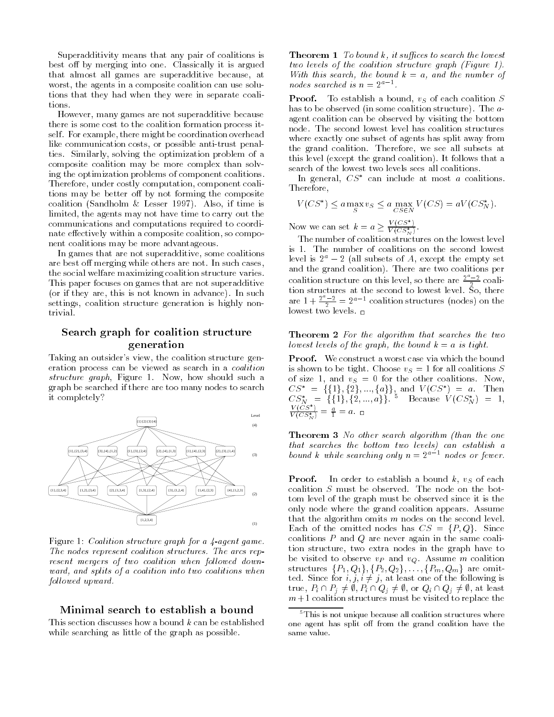Superadditivity means that any pair of coalitions is best off by merging into one. Classically it is argued that almost all games are superadditive because, at worst, the agents in a composite coalition can use solutions that they had when they were in separate coalitions.

However, many games are not superadditive because there is some cost to the coalition formation process itself. For example, there might be coordination overhead like communication costs, or possible anti-trust penalties. Similarly, solving the optimization problem of a composite coalition may be more complex than solving the optimization problems of component coalitions. Therefore, under costly computation, component coalitions may be better off by not forming the composite coalition (Sandholm & Lesser 1997). Also, if time is limited, the agents may not have time to carry out the communications and computations required to coordinate effectively within a composite coalition, so component coalitions may be more advantageous.

In games that are not superadditive, some coalitions are best off merging while others are not. In such cases, the social welfare maximizing coalition structure varies. This paper focuses on games that are not superadditive (or if they are, this is not known in advance). In such settings, coalition structure generation is highly nontrivial.

# Search graph for coalition structure generation

Taking an outsider's view, the coalition structure generation process can be viewed as search in a coalition structure graph, Figure 1. Now, how should such a graph be searched if there are too many nodes to search it completely?



Figure 1: Coalition structure graph for a 4-agent game. The nodes represent coalition structures. The arcs represent mergers of two coalition when followed downward, and splits of a coalition into two coalitions when followed upward.

Minimal search to establish a bound This section discusses how a bound  $k$  can be established while searching as little of the graph as possible.

**Theorem 1** To bound  $k$ , it suffices to search the lowest two levels of the coalition structure graph (Figure 1). With this search, the bound  $k = a$ , and the number of nodes searched is  $n = 2$ <sup>-</sup>.

**Proof.** To establish a bound,  $v_S$  of each coalition  $S$ has to be observed (in some coalition structure). The aagent coalition can be observed by visiting the bottom node. The second lowest level has coalition structures where exactly one subset of agents has split away from the grand coalition. Therefore, we see all subsets at this level (except the grand coalition). It follows that a search of the lowest two levels sees all coalitions.

In general,  $CS^*$  can include at most a coalitions. Therefore,

$$
V(CS^*) \le a \max_{S} v_S \le a \max_{CS \in N} V(CS) = aV(CS_N^*).
$$

Now we can set  $k = a \geq \frac{V(S)}{V(C S_N^*)}$ .

The number of coalition structures on the lowest level is 1. The number of coalitions on the second lowest level is  $2^a - 2$  (all subsets of A, except the empty set and the grand coalition). There are two coalitions per coalition structure on this level, so there are  $\frac{2^{n}-2}{2}$  coaliare  $1 + \frac{2^a - 2}{2} = 2^{a-1}$  coalition structures (nodes) on the lowest two levels.  $\Box$ 

Theorem 2 For the algorithm that searches the two lowest levels of the graph, the bound  $k = a$  is tight.

Proof. We construct a worst case via which the bound is shown to be tight. Choose  $v<sub>S</sub> = 1$  for all coalitions S  $\begin{array}{l}\nCS^* = \{ \{1\}, \{2\}, ..., \{a\} \}, \text{ and } V(CS^*) = a. \text{ Then} \\
CS_N^* = \{ \{1\}, \{2, ..., a\} \}. \text{ Because } V(CS_N^*) = 1, \\
\frac{V(CS^*)}{V(CS_N^*)} = \frac{a}{1} = a. \text{ or} \n\end{array}$ 

Theorem 3 No other search algorithm (than the one that searches the bottom two levels) can establish a bound k while searching only  $n = 2^{a-1}$  nodes or fewer.

**Proof.** In order to establish a bound  $k$ ,  $v_S$  of each coalition S must be observed. The node on the bottom level of the graph must be observed since it is the only node where the grand coalition appears. Assume that the algorithm omits  $m$  nodes on the second level. Each of the omitted nodes has  $CS = \{P, Q\}$ . Since coalitions  $P$  and  $Q$  are never again in the same coalition structure, two extra nodes in the graph have to  $\text{structures }\{P_1,Q_1\},\{\overrightarrow{P_2},Q_2\},\ldots,\{P_m,Q_m\} \text{ are omit-}$ ted. Since for  $i, j, i \neq j$ , at least one of the following is true,  $P_i \cap P_j \neq \emptyset$ ,  $P_i \cap Q_j \neq \emptyset$ , or  $Q_i \cap Q_j \neq \emptyset$ , at least  $m+1$  coalition structures must be visited to replace the

 $5$ This is not unique because all coalition structures where one agent has split off from the grand coalition have the same value.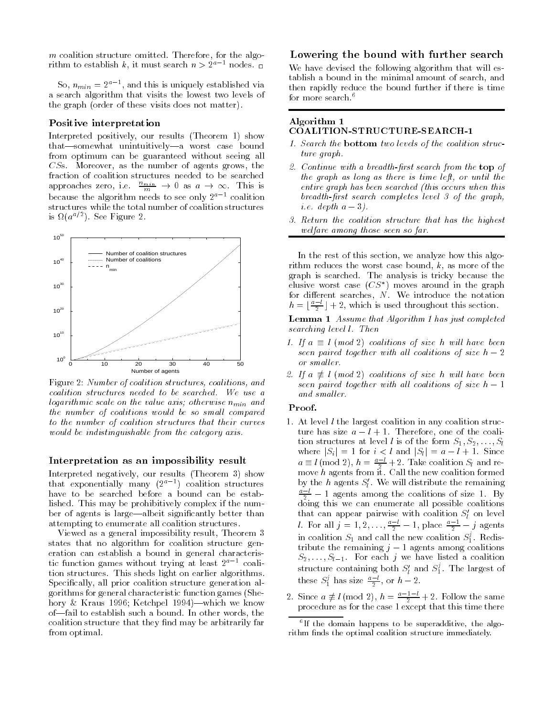$m$  coalition structure omitted. Therefore, for the algorithm to establish k, it must search  $n > 2^{a-1}$  nodes.

So,  $n_{min} = 2^{\circ}$ , and this is uniquely established via a search algorithm that visits the lowest two levels of the graph (order of these visits does not matter).

#### Positive interpretation

Interpreted positively, our results (Theorem 1) show that-somewhat unintuitively-a worst case bound from optimum can be guaranteed without seeing all  $CSs$ . Moreover, as the number of agents grows, the fraction of coalition structures needed to be searched CSs. Moreover, as the number of agents grows, the fraction of coalition structures needed to be searched approaches zero, i.e.  $\frac{n_{min}}{m} \to 0$  as  $a \to \infty$ . This is because the algorithm needs to see only  $2^{a-1}$  coalition structures while the total number of coalition structures is  $\mathcal{U}(a^{-n-1})$ . See Figure 2.



Figure 2: Number of coalition structures, coalitions, and coalition structures needed to be searched. We use a logarithmic scale on the value axis; otherwise  $n_{min}$  and the number of coalitions would be so small compared to the number of coalition structures that their curves would be indistinguishable from the category axis.

#### Interpretation as an impossibility result

Interpreted negatively, our results (Theorem 3) show that exponentially many (2" ") coalition structures have to be searched before a bound can be established. This may be prohibitively complex if the num ber of agents is large—albeit significantly better than attempting to enumerate all coalition structures.

Viewed as a general impossibility result, Theorem 3 states that no algorithm for coalition structure generation can establish a bound in general characteristic function games without trying at least  $2^{a-1}$  coalition structures. This sheds light on earlier algorithms. Specifically, all prior coalition structure generation algorithms for general characteristic function games (Shehory & Kraus 1996; Ketchpel 1994)—which we know of-fail to establish such a bound. In other words, the coalition structure that they find may be arbitrarily far from optimal.

### Lowering the bound with further search

We have devised the following algorithm that will establish a bound in the minimal amount of search, and then rapidly reduce the bound further if there is time for more search.<sup>6</sup>

#### Algorithm 1 COALITION-STRUCTURE-SEARCH-1

- 1. Search the bottom two levels of the coalition structure graph.
- 2. Continue with a breadth-first search from the top of the graph as long as there is time left, or until the entire graph has been searched (this occurs when this  $breadth-first search completes level 3 of the graph,$ *i.e.* depth  $a - 3$ .
- 3. Return the coalition structure that has the highest welfare among those seen so far.

In the rest of this section, we analyze how this algorithm reduces the worst case bound, k, as more of the graph is searched. The analysis is tricky because the elusive worst case  $( C . 5 )$  moves around in the graph for different searches,  $N$ . We introduce the notation  $h = \lfloor \frac{a - t}{2} \rfloor + 2$ , which is used throughout this section.

Lemma 1 Assume that Algorithm 1 has just completed searching level l. Then

- 1. If  $a \equiv l \pmod{2}$  coalitions of size h will have been seen paired together with all coalitions of size  $h - 2$ or smaller.
- 2. If  $a \not\equiv l \pmod{2}$  coalitions of size h will have been seen paired together with all coalitions of size  $h - 1$ and smaller.

#### Proof.

- 1. At level l the largest coalition in any coalition structure has size  $a - l + 1$ . Therefore, one of the coalition structures at level *l* is of the form  $S_1, S_2, \ldots, S_l$ where  $|S_i| = 1$  for  $i < l$  and  $|S_i| = a - l + 1$ . Since  $a \equiv l \pmod{2}$ ,  $h = \frac{a-l}{2} + 2$ . Take coalition  $S_l$  and remove h agents from it. Call the new coalition formed by the *n* agents  $S_l$ . We will distribute the remaining  $\frac{a-l}{2} - 1$  agents among the coalitions of size 1. By doing this we can enumerate all possible coalitions that can appear pairwise with coalition  $S_l$  on level *l*. For all  $j = 1, 2, ..., \frac{a-1}{2} - 1$ , place  $\frac{a-1}{2} - j$  agents in coalition  $S_1$  and call the new coalition  $S_1'$ . Redistribute the remaining  $j - 1$  agents among coalitions  $S_2, \ldots, S_{l-1}$ . For each j we have listed a coalition structure containing both  $S_l^{\scriptscriptstyle\prime}$  and  $S_1^{\scriptscriptstyle\prime}$  . The largest of these  $S_1^j$  has size  $\frac{a-l}{2}$ , or  $h-2$ .
- 2. Since  $a \not\equiv l \pmod{2}$ ,  $h = \frac{a-1-l}{2} + 2$ . Follow the same procedure as for the case 1 except that time the case 1 except that time the case 1 except that time that time

<sup>6</sup> If the domain happens to be superadditive, the algorithm finds the optimal coalition structure immediately.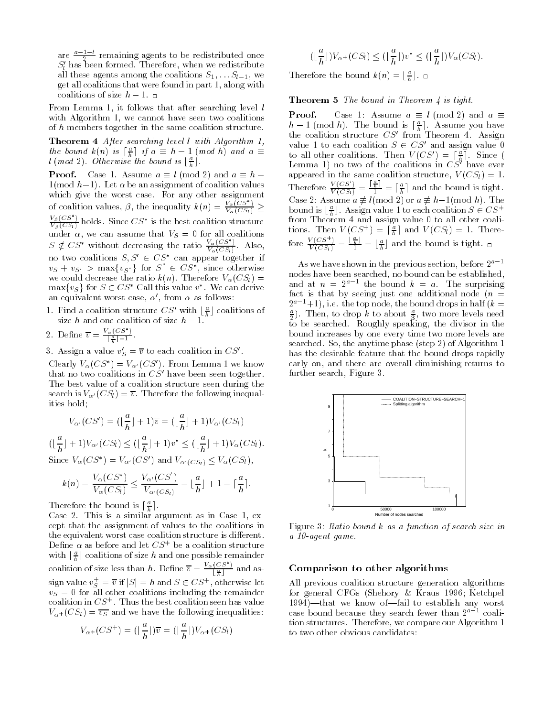are  $\frac{1}{\sqrt{2}}$  remaining agents to be redistributed once  $S_l'$  has been formed. Therefore, when we redistribute all these agents among the coalitions  $S_1, \ldots S_{l-1}$ , we get all coalitions that were found in part 1, along with coalitions of size  $h - 1$ .

From Lemma 1, it follows that after searching level l with Algorithm 1, we cannot have seen two coalitions of h members together in the same coalition structure.

Theorem 4 After searching level l with Algorithm 1, the bound  $k(n)$  is  $\lceil \frac{a}{h} \rceil$  if  $a \equiv h - 1 \pmod{h}$  and  $a \equiv$ l (mod 2). Otherwise the bound is  $\lfloor \frac{a}{h} \rfloor$ .

**Proof.** Case 1. Assume  $a \equiv l \pmod{2}$  and  $a \equiv h 1(\text{mod } h-1)$ . Let  $\alpha$  be an assignment of coalition values which give the worst case. For any other assignment of coalition values,  $\beta$ , the inequality  $k(n) = \frac{V_{\alpha}(CS)}{V_{\alpha}(CS)} \geq$  $\frac{V_{\beta}(CS)}{V_{\beta}(CS)}$  holds. Since  $CS^*$  is the best coalition structure  $S \notin CS^*$  without decreasing the ratio  $\frac{V_{\alpha}(CS^*)}{V_{\alpha}(CS^*)}$ . Also,  $V_{\alpha}(CS_l)$  .  $\cdots$ , no two coalitions  $S, S' \in CS^*$  can appear together if  $v_S + v_{S'} > \max\{v_{S^*}\}\$ for  $S^* \in CS^*$ , since otherwise we could decrease the ratio  $k(n)$ . Therefore  $V_{\alpha}(CS_l ) =$  $\max\{v_S\}$  for  $S \in CS^*$  Call this value  $v^*$ . We can derive an equivalent worst case,  $\alpha'$ , from  $\alpha$  as follows:

1. Find a coalition structure  $CS'$  with  $\lfloor \frac{a}{h} \rfloor$  coalitions of size h and one coalition of size  $h-1$ .

2. Define 
$$
\overline{v} = \frac{V_{\alpha}(CS^*)}{\left\lfloor \frac{a}{h} \right\rfloor + 1}
$$
.

3. Assign a value  $v'_S = \overline{v}$  to each coalition in  $CS'$ .

Clearly  $V_\alpha(C, S) = V_{\alpha'}(C, S)$ . From Lemma 1 we know that no two coalitions in  $CS'$  have been seen together. The best value of a coalition structure seen during the search is  $V_{\alpha'}(CS_l) = \overline{v}$ . Therefore the following inequalities hold;

$$
V_{\alpha'}(CS') = \left(\left\lfloor \frac{a}{h} \right\rfloor + 1\right) \overline{v} = \left(\left\lfloor \frac{a}{h} \right\rfloor + 1\right) V_{\alpha'}(CS_l)
$$

$$
\left(\left\lfloor \frac{a}{h} \right\rfloor + 1\right) V_{\alpha'}(CS_l) \le \left(\left\lfloor \frac{a}{h} \right\rfloor + 1\right) v^* \le \left(\left\lfloor \frac{a}{h} \right\rfloor + 1\right) V_{\alpha}(CS_l).
$$
Since  $V_{\alpha}(CS^*) = V_{\alpha'}(CS')$  and  $V_{\alpha'(CS_l)} \le V_{\alpha}(CS_l)$ ,

$$
k(n) = \frac{V_{\alpha}(CS^*)}{V_{\alpha}(CS_l)} \le \frac{V_{\alpha'}(CS')}{V_{\alpha'(CS_l)}} = \lfloor \frac{a}{h} \rfloor + 1 = \lceil \frac{a}{h} \rceil.
$$

Therefore the bound is  $\lceil \frac{a}{h} \rceil$ .

Case 2. This is a similar argument as in Case 1, except that the assignment of values to the coalitions in the equivalent worst case coalition structure is different. Define  $\alpha$  as before and let  $\cup$   $S^+$  be a coalition structure  $$ with  $\lfloor \frac{a}{h} \rfloor$  coalitions of size  $h$  and one possible remainder coalition of size less than h. Define  $\overline{v} = \frac{V_{\alpha}(CS)}{\left[\frac{a}{h}\right]}$  and assign value  $v_S^+ = \overline{v}$  if  $|S| = h$  and  $S \in CS^+$ , otherwise let  $v_S = 0$  for all other coalitions including the remainder coalition in CS  $^+$  . Thus the best coalition seen has value  $^ V_{\alpha+} (CS_l ) = \overline{v_S}$  and we have the following inequalities:

$$
V_{\alpha+}(CS^+) = (\lfloor \frac{a}{h} \rfloor)\overline{v} = (\lfloor \frac{a}{h} \rfloor)V_{\alpha+}(CS_l)
$$

$$
\left(\left\lfloor\frac{a}{h}\right\rfloor\right)V_{\alpha} + \left(CS_l\right) \leq \left(\left\lfloor\frac{a}{h}\right\rfloor\right)v^* \leq \left(\left\lfloor\frac{a}{h}\right\rfloor\right)V_{\alpha}\left(CS_l\right).
$$

Therefore the bound  $k(n) = \lfloor \frac{a}{h} \rfloor$ .  $\Box$ 

#### **Theorem 5** The bound in Theorem 4 is tight.

**Proof.** Case 1: Assume  $a \equiv l \pmod{2}$  and  $a \equiv$  $h-1 \pmod{h}$ . The bound is  $\lceil \frac{a}{h} \rceil$ . Assume you have the coalition structure  $C_{\mathcal{D}}$  from Theorem 4. Assign value 1 to each coalition  $S \in CS'$  and assign value 0 to all other coalitions. Then  $V(CS') = \lceil \frac{a}{h} \rceil$ . Since ( Lemma 1) no two of the coalitions in  $\cup$  5 have ever Therefore  $\frac{V(CS')}{V(CS_i)} = \frac{\left[\frac{a}{h}\right]}{1} = \left[\frac{a}{h}\right]$  and the bound is tight. Case 2: Assume  $a \not\equiv l \pmod{2}$  or  $a \not\equiv h-1 \pmod{h}$ . The bound is  $\lfloor \frac{a}{h} \rfloor$ . Assign value 1 to each coalition  $S \in CS^+$ from Theorem 4 and assign value 0 to all other coalitions. Then  $V(CS^+) = \lceil \frac{a}{h} \rceil$  and  $V(CS_l) = 1$ . Therefore  $\frac{V(CS^+)}{V(CS_t)} = \frac{\lfloor \frac{\pi}{h} \rfloor}{1} = \lfloor \frac{a}{h} \rfloor$  and the bound is tight.  $\Box$ 

As we have shown in the previous section, before  $2^{a-1}$ nodes have been searched, no bound can be established, and at  $n = 2$  the bound  $\kappa = a$ . The surprising fact is that by seeing just one additional node  $(n =$  $2^{a-1}+1$ ), i.e. the top node, the bound drops in half  $(k = 1)$  $\frac{1}{2}$ ). Then, to drop  $\kappa$  to about  $\frac{1}{3}$ , two more levels need to be searched. Roughly speaking, the divisor in the bound increases by one every time two more levels are searched. So, the anytime phase (step 2) of Algorithm 1 has the desirable feature that the bound drops rapidly early on, and there are overall diminishing returns to further search, Figure 3.



Figure 3: Ratio bound k as a function of search size in a 10-agent game.

#### Comparison to other algorithms

All previous coalition structure generation algorithms for general CFGs (Shehory & Kraus 1996; Ketchpel  $1994$ )-that we know of-fail to establish any worst case bound because they search fewer than  $2^{a-1}$  coalition structures. Therefore, we compare our Algorithm 1 to two other obvious candidates: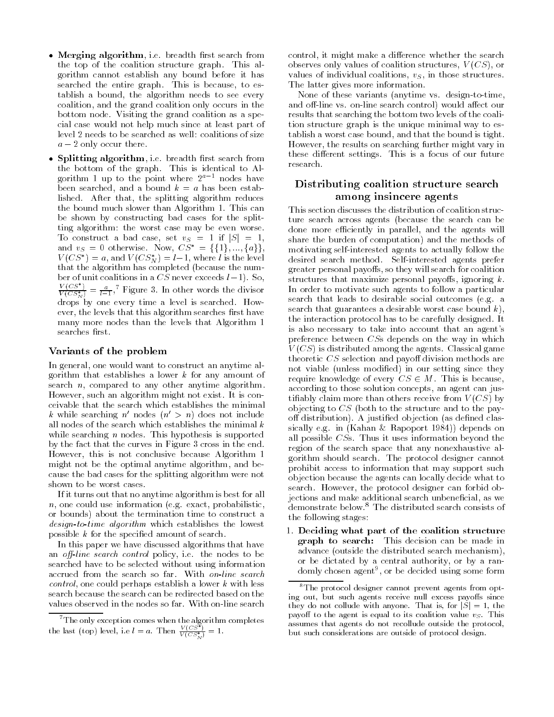- $\bullet$  Merging algorithm, i.e. breadth first search from the top of the coalition structure graph. This algorithm cannot establish any bound before it has searched the entire graph. This is because, to establish a bound, the algorithm needs to see every coalition, and the grand coalition only occurs in the bottom node. Visiting the grand coalition as a special case would not help much since at least part of level 2 needs to be searched as well: coalitions of size  $a - 2$  only occur there.
- Splitting algorithm, i.e. breadth first search from the bottom of the graph. This is identical to Algorithm 1 up to the point where  $2^{a-1}$  nodes have been searched, and a bound  $k = a$  has been established. After that, the splitting algorithm reduces the bound much slower than Algorithm 1. This can be shown by constructing bad cases for the splitting algorithm: the worst case may be even worse. To construct a bad case, set  $v_S = 1$  if  $|S| = 1$ , and  $v_S = 0$  otherwise. Now,  $\overrightarrow{CS}^* = \{\overrightarrow{1}\}, \overrightarrow{u}, \overrightarrow{a}\},$  $V(CS^*) = a$ , and  $V(CS_N^*) = l-1$ , where l is the level that the algorithm has completed (because the num ber of unit coalitions in a CS never exceeds  $l-1$ ). So,  $\frac{V(S)}{V(CS_N^*)} = \frac{a}{l-1}$ ,<sup>7</sup> Figure 3. In other words the divisor drops by one every time a level is searched. However, the levels that this algorithm searches first have many more nodes than the levels that Algorithm 1 searches first.

#### Variants of the problem

In general, one would want to construct an anytime algorithm that establishes a lower  $k$  for any amount of search  $n$ , compared to any other anytime algorithm. However, such an algorithm might not exist. It is conceivable that the search which establishes the minimal k while searching n' nodes  $(n' > n)$  does not include all nodes of the search which establishes the minimal  $k$ while searching  $n$  nodes. This hypothesis is supported by the fact that the curves in Figure 3 cross in the end. However, this is not conclusive because Algorithm 1 might not be the optimal anytime algorithm, and because the bad cases for the splitting algorithm were not shown to be worst cases.

If it turns out that no anytime algorithm is best for all n, one could use information (e.g. exact, probabilistic, or bounds) about the termination time to construct a design-to-time algorithm which establishes the lowest possible k for the specied amount of search.

In this paper we have discussed algorithms that have an off-line search control policy, i.e. the nodes to be searched have to be selected without using information accrued from the search so far. With on-line search  $control$ , one could perhaps establish a lower  $k$  with less search because the search can be redirected based on the values observed in the nodes so far. With on-line search

control, it might make a difference whether the search observes only values of coalition structures,  $V(CS)$ , or values of individual coalitions,  $v<sub>S</sub>$ , in those structures. The latter gives more information.

None of these variants (anytime vs. design-to-time, and off-line vs. on-line search control) would affect our results that searching the bottom two levels of the coalition structure graph is the unique minimal way to establish a worst case bound, and that the bound is tight. However, the results on searching further might vary in these different settings. This is a focus of our future research.

# Distributing coalition structure search among insincere agents

This section discusses the distribution of coalition structure search across agents (because the search can be done more efficiently in parallel, and the agents will share the burden of computation) and the methods of motivating self-interested agents to actually follow the desired search method. Self-interested agents prefer greater personal payoffs, so they will search for coalition structures that maximize personal payoffs, ignoring  $k$ . In order to motivate such agents to follow a particular search that leads to desirable social outcomes (e.g. a search that guarantees a desirable worst case bound  $k$ ), the interaction protocol has to be carefully designed. It is also necessary to take into account that an agent's preference between CSs depends on the way in which  $V(CS)$  is distributed among the agents. Classical game theoretic  $CS$  selection and payoff division methods are not viable (unless modied) in our setting since they require knowledge of every  $CS \in M$ . This is because, according to those solution concepts, an agent can justifiably claim more than others receive from  $V(CS)$  by objecting to CS (both to the structure and to the payoff distribution). A justified objection (as defined classically e.g. in (Kahan & Rapoport 1984)) depends on all possible CSs. Thus it uses information beyond the region of the search space that any nonexhaustive algorithm should search. The protocol designer cannot prohibit access to information that may support such objection because the agents can locally decide what to search. However, the protocol designer can forbid objections and make additional search unbeneficial, as we demonstrate below.<sup>8</sup> The distributed search consists of the following stages:

1. Deciding what part of the coalition structure graph to search: This decision can be made in advance (outside the distributed search mechanism), or be dictated by a central authority, or by a randomly chosen agent9 , or be decided using some form

 $\pm$  1 he only exception comes when the algorithm completes  $\pm$ the last (top) level, i.e  $l = a$ . Then  $\frac{V(CS)}{V(CS_N^*)} = 1$ .

<sup>8</sup>The protocol designer cannot prevent agents from opting out, but such agents receive null excess payoffs since they do not collude with anyone. That is, for  $|S|=1$ , the payoff to the agent is equal to its coalition value  $v<sub>S</sub>$ . This assumes that agents do not recollude outside the protocol, but such considerations are outside of protocol design.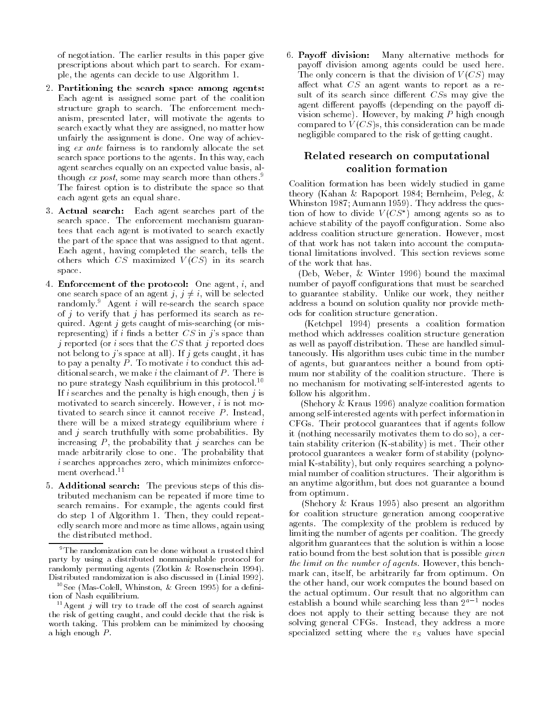of negotiation. The earlier results in this paper give prescriptions about which part to search. For exam ple, the agents can decide to use Algorithm 1.

- 2. Partitioning the search space among agents: Each agent is assigned some part of the coalition structure graph to search. The enforcement mechanism, presented later, will motivate the agents to search exactly what they are assigned, no matter how unfairly the assignment is done. One way of achieving ex ante fairness is to randomly allocate the set search space portions to the agents. In this way, each agent searches equally on an expected value basis, although ex post, some may search more than others.<sup>9</sup> The fairest option is to distribute the space so that each agent gets an equal share.
- 3. Actual search: Each agent searches part of the search space. The enforcement mechanism guarantees that each agent is motivated to search exactly the part of the space that was assigned to that agent. Each agent, having completed the search, tells the others which  $CS$  maximized  $V(CS)$  in its search space.
- 4. Enforcement of the protocol: One agent, i, and one search space of an agent j,  $j \neq i$ , will be selected randomly. $9$  Agent i will re-search the search space of j to verify that j has performed its search as required. Agent j gets caught of mis-searching (or misrepresenting) if  $i$  finds a better  $CS$  in  $j$ 's space than j reported (or i sees that the  $CS$  that j reported does not belong to j's space at all). If j gets caught, it has to pay a penalty  $P$ . To motivate i to conduct this additional search, we make  $i$  the claimant of  $P$ . There is no pure strategy Nash equilibrium in this protocol.<sup>10</sup> If  $i$  searches and the penalty is high enough, then  $j$  is motivated to search sincerely. However,  $i$  is not motivated to search since it cannot receive  $P$ . Instead, there will be a mixed strategy equilibrium where  $i$ and  $j$  search truthfully with some probabilities. By increasing  $P$ , the probability that j searches can be made arbitrarily close to one. The probability that i searches approaches zero, which minimizes enforce ment overhead. $^{\rm 11}$
- 5. Additional search: The previous steps of this distributed mechanism can be repeated if more time to search remains. For example, the agents could first do step 1 of Algorithm 1. Then, they could repeatedly search more and more as time allows, again using the distributed method.

<sup>9</sup>The randomization can be done without a trusted third party by using a distributed nonmanipulable protocol for randomly permuting agents (Zlotkin & Rosenschein 1994). Distributed randomization is also discussed in (Linial 1992).

<sup>11</sup> Agent j will try to trade off the cost of search against the risk of getting caught, and could decide that the risk is worth taking. This problem can be minimized by choosing a high enough  $P$ .

6. Payoff division: Many alternative methods for payoff division among agents could be used here. The only concern is that the division of  $V(CS)$  may affect what  $CS$  an agent wants to report as a result of its search since different  $CSs$  may give the agent different payoffs (depending on the payoff division scheme). However, by making P high enough compared to  $\hat{V}(CS)$ s, this consideration can be made negligible compared to the risk of getting caught.

# Related research on computational coalition formation

Coalition formation has been widely studied in game theory (Kahan & Rapoport 1984; Bernheim, Peleg, & Whinston 1987; Aumann 1959). They address the question of how to divide  $V(C, S)$  among agents so as to achieve stability of the payoff configuration. Some also address coalition structure generation. However, most of that work has not taken into account the computational limitations involved. This section reviews some of the work that has.

(Deb, Weber, & Winter 1996) bound the maximal number of payoff configurations that must be searched to guarantee stability. Unlike our work, they neither address a bound on solution quality nor provide methods for coalition structure generation.

(Ketchpel 1994) presents a coalition formation method which addresses coalition structure generation as well as payoff distribution. These are handled simultaneously. His algorithm uses cubic time in the number of agents, but guarantees neither a bound from opti mum nor stability of the coalition structure. There is no mechanism for motivating self-interested agents to follow his algorithm.

(Shehory & Kraus 1996) analyze coalition formation among self-interested agents with perfect information in CFGs. Their protocol guarantees that if agents follow it (nothing necessarily motivates them to do so), a certain stability criterion (K-stability) is met. Their other protocol guarantees a weaker form of stability (polynomial K-stability), but only requires searching a polynomial number of coalition structures. Their algorithm is an anytime algorithm, but does not guarantee a bound from optimum.

(Shehory & Kraus 1995) also present an algorithm for coalition structure generation among cooperative agents. The complexity of the problem is reduced by limiting the number of agents per coalition. The greedy algorithm guarantees that the solution is within a loose ratio bound from the best solution that is possible *given* the limit on the number of agents. However, this benchmark can, itself, be arbitrarily far from optimum. On the other hand, our work computes the bound based on the actual optimum. Our result that no algorithm can establish a bound while searching less than  $2^{a-1}$  nodes does not apply to their setting because they are not solving general CFGs. Instead, they address a more specialized setting where the  $v<sub>S</sub>$  values have special

 $10$ See (Mas-Colell, Whinston, & Green 1995) for a definition of Nash equilibrium.